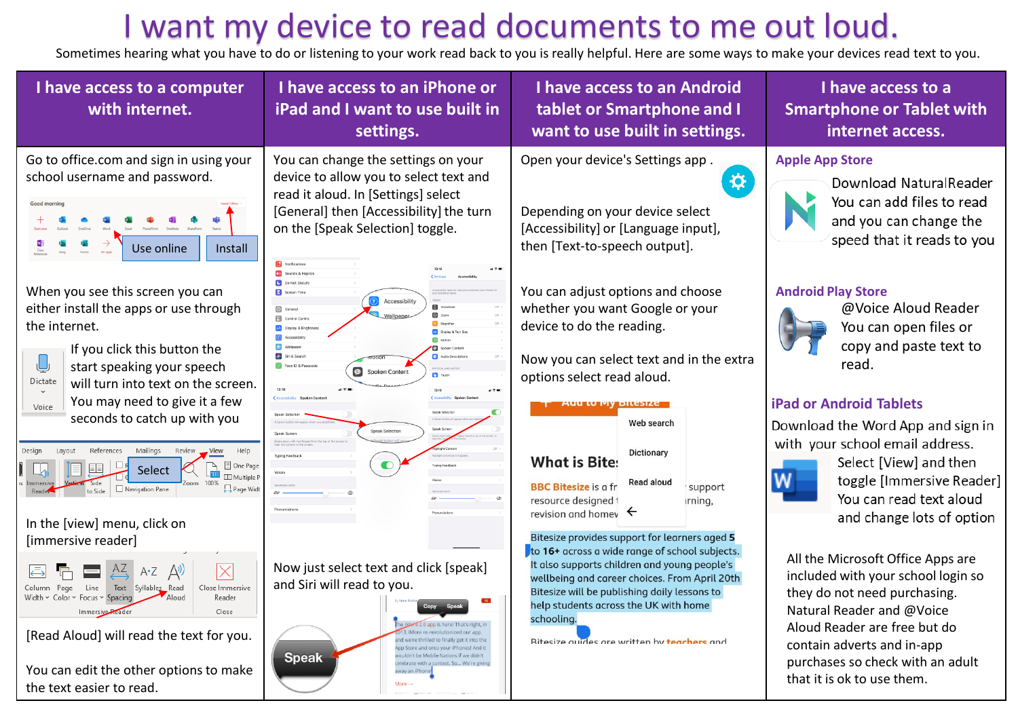## I want my device to read documents to me out loud.

Sometimes hearing what you have to do or listening to your work read back to you is really helpful. Here are some ways to make your devices read text to you.

| I have access to a computer<br>with internet.                                                                                                                                                                                                                                                                                                                                                                                                  | I have access to an iPhone or<br>iPad and I want to use built in<br>settings.                                                                                                                                                                                                                                                                                                                                                                                 | I have access to an Android<br>tablet or Smartphone and I<br>want to use built in settings.                                                                                                                                                                                                                                                                                            | I have access to a<br><b>Smartphone or Tablet with</b><br>internet access.                                                                                                                                                                                                                                                                 |
|------------------------------------------------------------------------------------------------------------------------------------------------------------------------------------------------------------------------------------------------------------------------------------------------------------------------------------------------------------------------------------------------------------------------------------------------|---------------------------------------------------------------------------------------------------------------------------------------------------------------------------------------------------------------------------------------------------------------------------------------------------------------------------------------------------------------------------------------------------------------------------------------------------------------|----------------------------------------------------------------------------------------------------------------------------------------------------------------------------------------------------------------------------------------------------------------------------------------------------------------------------------------------------------------------------------------|--------------------------------------------------------------------------------------------------------------------------------------------------------------------------------------------------------------------------------------------------------------------------------------------------------------------------------------------|
| Go to office.com and sign in using your<br>school username and password.<br>Good morning<br>Use online<br>Install                                                                                                                                                                                                                                                                                                                              | You can change the settings on your<br>device to allow you to select text and<br>read it aloud. In [Settings] select<br>[General] then [Accessibility] the turn<br>on the [Speak Selection] toggle.<br>Notification<br>Sounds & Haptics                                                                                                                                                                                                                       | Open your device's Settings app.<br>$\boldsymbol{\phi}$<br>Depending on your device select<br>[Accessibility] or [Language input],<br>then [Text-to-speech output].                                                                                                                                                                                                                    | <b>Apple App Store</b><br>Download NaturalReader<br>You can add files to read<br>and you can change the<br>speed that it reads to you                                                                                                                                                                                                      |
| When you see this screen you can<br>either install the apps or use through<br>the internet.<br>If you click this button the<br>ىي<br>start speaking your speech<br>Dictate<br>will turn into text on the screen.<br>You may need to give it a few<br>Voice<br>seconds to catch up with you<br>Design<br>Mailings<br>Layout<br>References<br>Help<br>□ One Page<br>Select<br>EE Multiple P<br>Page Widt<br>Navigation Pane<br>to Side<br>Reader | Do Not Disturt<br>Screen Time<br><b>(1)</b> Accessibility<br><b>B</b> voiceOve<br>G General<br>Control Centre<br>AA Display & Brightnes<br><b>Display &amp; Text Siz</b><br>Accessibilit<br><b>Wallpaper</b><br>Spoken Conte<br>Siri & Search<br>Audio Descript<br><b>B</b> Face ID & Passo<br>$\boxed{\mathbf{\Phi}}$<br>Spoken Content<br>Touch<br>Speak Select<br>Speak Screen<br>Speak Selection<br>Speak Screen<br>Typing Feedbac<br>$\bullet$<br>Voices | You can adjust options and choose<br>whether you want Google or your<br>device to do the reading.<br>Now you can select text and in the extra<br>options select read aloud.<br>AUU to My Ditesize<br>Web search<br>Dictionary<br><b>What is Bite:</b><br><b>Read aloud</b><br><b>BBC Bitesize</b> is a fr<br>support<br>resource designed<br>irning,<br>revision and home $\leftarrow$ | <b>Android Play Store</b><br>@Voice Aloud Reader<br>You can open files or<br>copy and paste text to<br>read.<br><b>iPad or Android Tablets</b><br>Download the Word App and sign in<br>with your school email address.<br>Select [View] and then<br>W<br>toggle [Immersive Reader]<br>You can read text aloud<br>and change lots of option |
| In the [view] menu, click on<br>[immersive reader]<br>$\mathord{\times}$<br>$A \cdot Z$<br>$\forall$<br>Text Syllables Read<br>Column<br>Page<br>Line<br>Close Immersive<br>Width v Color v Focus v Spacing<br>Reader<br>Immersive Reader<br>Close<br>[Read Aloud] will read the text for you.<br>You can edit the other options to make<br>the text easier to read.                                                                           | Now just select text and click [speak]<br>and Siri will read to you.<br><b>Speak</b><br>uldn't be Mobile Nations if we didn't<br>lebrate with a contest. So We're givin<br>away an iPhon                                                                                                                                                                                                                                                                      | Bitesize provides support for learners aged 5<br>to 16+ across a wide range of school subjects.<br>It also supports children and young people's<br>wellbeing and career choices. From April 20th<br>Bitesize will be publishing daily lessons to<br>help students across the UK with home<br>schooling.<br>Ritesize quides are written by teachers and                                 | All the Microsoft Office Apps are<br>included with your school login so<br>they do not need purchasing.<br>Natural Reader and @Voice<br>Aloud Reader are free but do<br>contain adverts and in-app<br>purchases so check with an adult<br>that it is ok to use them.                                                                       |